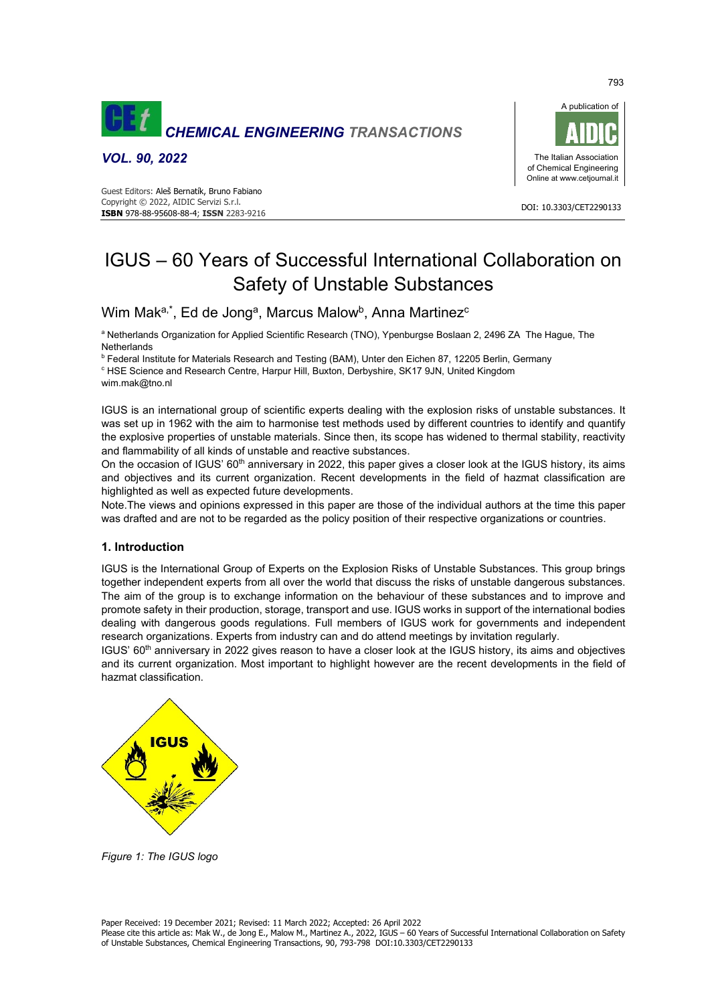

*VOL. 90, 2022* 





# IGUS – 60 Years of Successful International Collaboration on Safety of Unstable Substances

# Wim Mak<sup>a,\*</sup>, Ed de Jong<sup>a</sup>, Marcus Malow<sup>b</sup>, Anna Martinez<sup>c</sup>

a Netherlands Organization for Applied Scientific Research (TNO), Ypenburgse Boslaan 2, 2496 ZA The Hague, The **Netherlands** 

b Federal Institute for Materials Research and Testing (BAM), Unter den Eichen 87, 12205 Berlin, Germany

c HSE Science and Research Centre, Harpur Hill, Buxton, Derbyshire, SK17 9JN, United Kingdom wim.mak@tno.nl

IGUS is an international group of scientific experts dealing with the explosion risks of unstable substances. It was set up in 1962 with the aim to harmonise test methods used by different countries to identify and quantify the explosive properties of unstable materials. Since then, its scope has widened to thermal stability, reactivity and flammability of all kinds of unstable and reactive substances.

On the occasion of IGUS' 60<sup>th</sup> anniversary in 2022, this paper gives a closer look at the IGUS history, its aims and objectives and its current organization. Recent developments in the field of hazmat classification are highlighted as well as expected future developments.

Note.The views and opinions expressed in this paper are those of the individual authors at the time this paper was drafted and are not to be regarded as the policy position of their respective organizations or countries.

# **1. Introduction**

IGUS is the International Group of Experts on the Explosion Risks of Unstable Substances. This group brings together independent experts from all over the world that discuss the risks of unstable dangerous substances. The aim of the group is to exchange information on the behaviour of these substances and to improve and promote safety in their production, storage, transport and use. IGUS works in support of the international bodies dealing with dangerous goods regulations. Full members of IGUS work for governments and independent research organizations. Experts from industry can and do attend meetings by invitation regularly.

IGUS' 60th anniversary in 2022 gives reason to have a closer look at the IGUS history, its aims and objectives and its current organization. Most important to highlight however are the recent developments in the field of hazmat classification.



*Figure 1: The IGUS logo*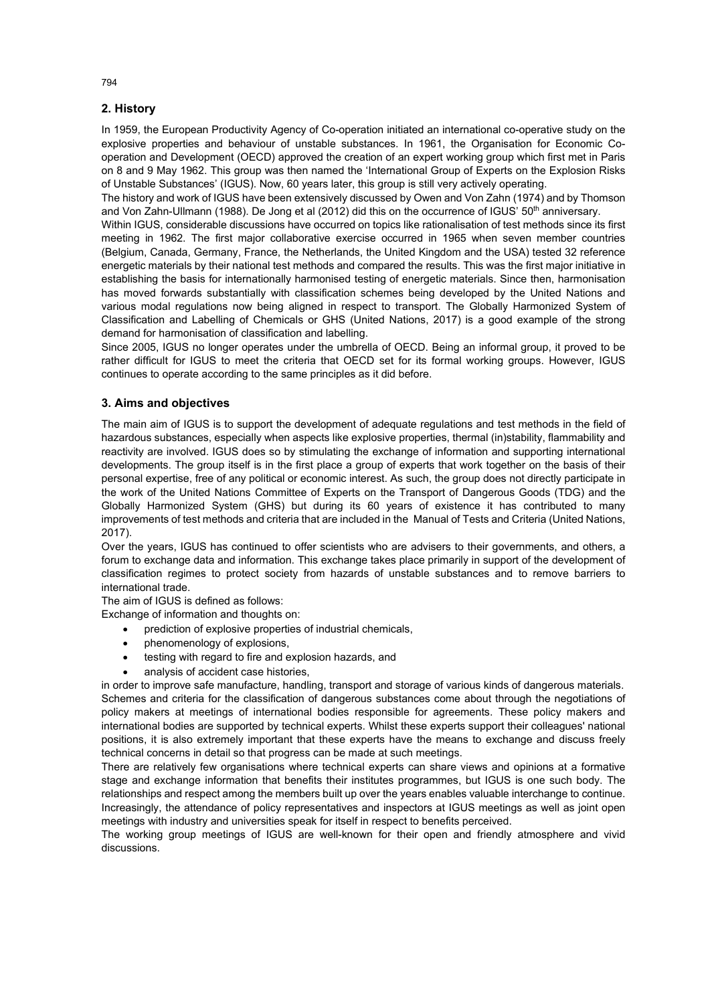# **2. History**

In 1959, the European Productivity Agency of Co-operation initiated an international co-operative study on the explosive properties and behaviour of unstable substances. In 1961, the Organisation for Economic Cooperation and Development (OECD) approved the creation of an expert working group which first met in Paris on 8 and 9 May 1962. This group was then named the 'International Group of Experts on the Explosion Risks of Unstable Substances' (IGUS). Now, 60 years later, this group is still very actively operating.

The history and work of IGUS have been extensively discussed by Owen and Von Zahn (1974) and by Thomson and Von Zahn-Ullmann (1988). De Jong et al (2012) did this on the occurrence of IGUS' 50<sup>th</sup> anniversary.

Within IGUS, considerable discussions have occurred on topics like rationalisation of test methods since its first meeting in 1962. The first major collaborative exercise occurred in 1965 when seven member countries (Belgium, Canada, Germany, France, the Netherlands, the United Kingdom and the USA) tested 32 reference energetic materials by their national test methods and compared the results. This was the first major initiative in establishing the basis for internationally harmonised testing of energetic materials. Since then, harmonisation has moved forwards substantially with classification schemes being developed by the United Nations and various modal regulations now being aligned in respect to transport. The Globally Harmonized System of Classification and Labelling of Chemicals or GHS (United Nations, 2017) is a good example of the strong demand for harmonisation of classification and labelling.

Since 2005, IGUS no longer operates under the umbrella of OECD. Being an informal group, it proved to be rather difficult for IGUS to meet the criteria that OECD set for its formal working groups. However, IGUS continues to operate according to the same principles as it did before.

# **3. Aims and objectives**

The main aim of IGUS is to support the development of adequate regulations and test methods in the field of hazardous substances, especially when aspects like explosive properties, thermal (in)stability, flammability and reactivity are involved. IGUS does so by stimulating the exchange of information and supporting international developments. The group itself is in the first place a group of experts that work together on the basis of their personal expertise, free of any political or economic interest. As such, the group does not directly participate in the work of the United Nations Committee of Experts on the Transport of Dangerous Goods (TDG) and the Globally Harmonized System (GHS) but during its 60 years of existence it has contributed to many improvements of test methods and criteria that are included in the Manual of Tests and Criteria (United Nations, 2017).

Over the years, IGUS has continued to offer scientists who are advisers to their governments, and others, a forum to exchange data and information. This exchange takes place primarily in support of the development of classification regimes to protect society from hazards of unstable substances and to remove barriers to international trade.

The aim of IGUS is defined as follows:

Exchange of information and thoughts on:

- prediction of explosive properties of industrial chemicals,
- phenomenology of explosions,
- testing with regard to fire and explosion hazards, and
- analysis of accident case histories,

in order to improve safe manufacture, handling, transport and storage of various kinds of dangerous materials. Schemes and criteria for the classification of dangerous substances come about through the negotiations of policy makers at meetings of international bodies responsible for agreements. These policy makers and international bodies are supported by technical experts. Whilst these experts support their colleagues' national positions, it is also extremely important that these experts have the means to exchange and discuss freely technical concerns in detail so that progress can be made at such meetings.

There are relatively few organisations where technical experts can share views and opinions at a formative stage and exchange information that benefits their institutes programmes, but IGUS is one such body. The relationships and respect among the members built up over the years enables valuable interchange to continue. Increasingly, the attendance of policy representatives and inspectors at IGUS meetings as well as joint open meetings with industry and universities speak for itself in respect to benefits perceived.

The working group meetings of IGUS are well-known for their open and friendly atmosphere and vivid discussions.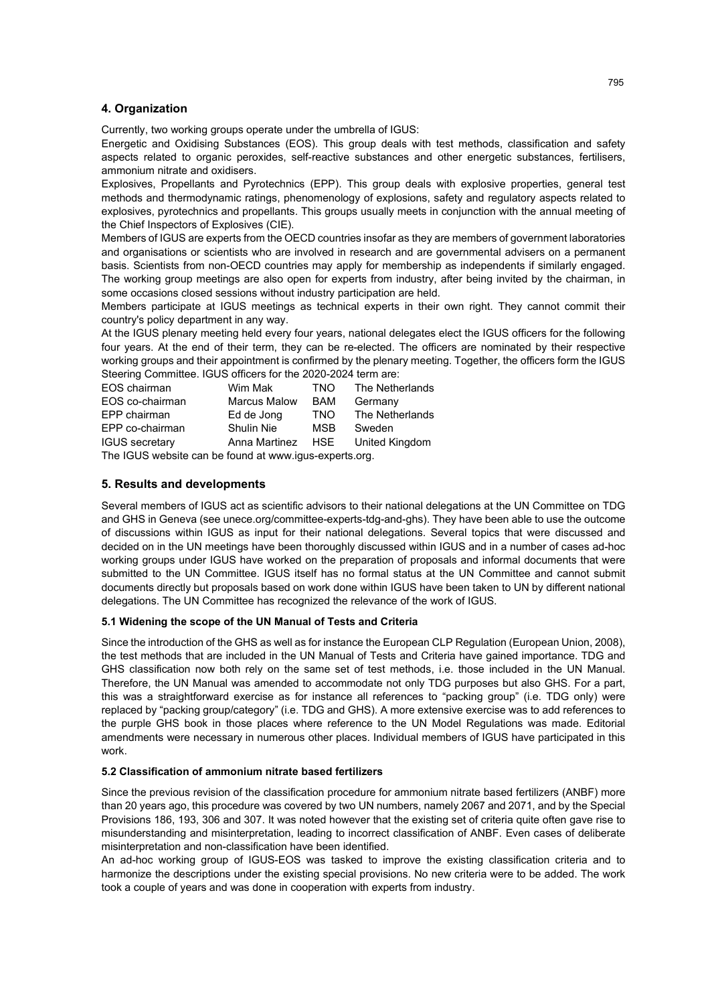### **4. Organization**

Currently, two working groups operate under the umbrella of IGUS:

Energetic and Oxidising Substances (EOS). This group deals with test methods, classification and safety aspects related to organic peroxides, self-reactive substances and other energetic substances, fertilisers, ammonium nitrate and oxidisers.

Explosives, Propellants and Pyrotechnics (EPP). This group deals with explosive properties, general test methods and thermodynamic ratings, phenomenology of explosions, safety and regulatory aspects related to explosives, pyrotechnics and propellants. This groups usually meets in conjunction with the annual meeting of the Chief Inspectors of Explosives (CIE).

Members of IGUS are experts from the OECD countries insofar as they are members of government laboratories and organisations or scientists who are involved in research and are governmental advisers on a permanent basis. Scientists from non-OECD countries may apply for membership as independents if similarly engaged. The working group meetings are also open for experts from industry, after being invited by the chairman, in some occasions closed sessions without industry participation are held.

Members participate at IGUS meetings as technical experts in their own right. They cannot commit their country's policy department in any way.

At the IGUS plenary meeting held every four years, national delegates elect the IGUS officers for the following four years. At the end of their term, they can be re-elected. The officers are nominated by their respective working groups and their appointment is confirmed by the plenary meeting. Together, the officers form the IGUS Steering Committee. IGUS officers for the 2020-2024 term are:

| EOS chairman                                           | Wim Mak             | TNO.       | The Netherlands |
|--------------------------------------------------------|---------------------|------------|-----------------|
| EOS co-chairman                                        | <b>Marcus Malow</b> | BAM        | Germany         |
| EPP chairman                                           | Ed de Jong          | TNO.       | The Netherlands |
| EPP co-chairman                                        | <b>Shulin Nie</b>   | <b>MSB</b> | Sweden          |
| <b>IGUS</b> secretary                                  | Anna Martinez       | HSE        | United Kingdom  |
| The ICLIS website can be found at www.jaus-experts org |                     |            |                 |

The IGUS website can be found at www.igus-experts.org.

#### **5. Results and developments**

Several members of IGUS act as scientific advisors to their national delegations at the UN Committee on TDG and GHS in Geneva (see unece.org/committee-experts-tdg-and-ghs). They have been able to use the outcome of discussions within IGUS as input for their national delegations. Several topics that were discussed and decided on in the UN meetings have been thoroughly discussed within IGUS and in a number of cases ad-hoc working groups under IGUS have worked on the preparation of proposals and informal documents that were submitted to the UN Committee. IGUS itself has no formal status at the UN Committee and cannot submit documents directly but proposals based on work done within IGUS have been taken to UN by different national delegations. The UN Committee has recognized the relevance of the work of IGUS.

#### **5.1 Widening the scope of the UN Manual of Tests and Criteria**

Since the introduction of the GHS as well as for instance the European CLP Regulation (European Union, 2008), the test methods that are included in the UN Manual of Tests and Criteria have gained importance. TDG and GHS classification now both rely on the same set of test methods, i.e. those included in the UN Manual. Therefore, the UN Manual was amended to accommodate not only TDG purposes but also GHS. For a part, this was a straightforward exercise as for instance all references to "packing group" (i.e. TDG only) were replaced by "packing group/category" (i.e. TDG and GHS). A more extensive exercise was to add references to the purple GHS book in those places where reference to the UN Model Regulations was made. Editorial amendments were necessary in numerous other places. Individual members of IGUS have participated in this work.

#### **5.2 Classification of ammonium nitrate based fertilizers**

Since the previous revision of the classification procedure for ammonium nitrate based fertilizers (ANBF) more than 20 years ago, this procedure was covered by two UN numbers, namely 2067 and 2071, and by the Special Provisions 186, 193, 306 and 307. It was noted however that the existing set of criteria quite often gave rise to misunderstanding and misinterpretation, leading to incorrect classification of ANBF. Even cases of deliberate misinterpretation and non-classification have been identified.

An ad-hoc working group of IGUS-EOS was tasked to improve the existing classification criteria and to harmonize the descriptions under the existing special provisions. No new criteria were to be added. The work took a couple of years and was done in cooperation with experts from industry.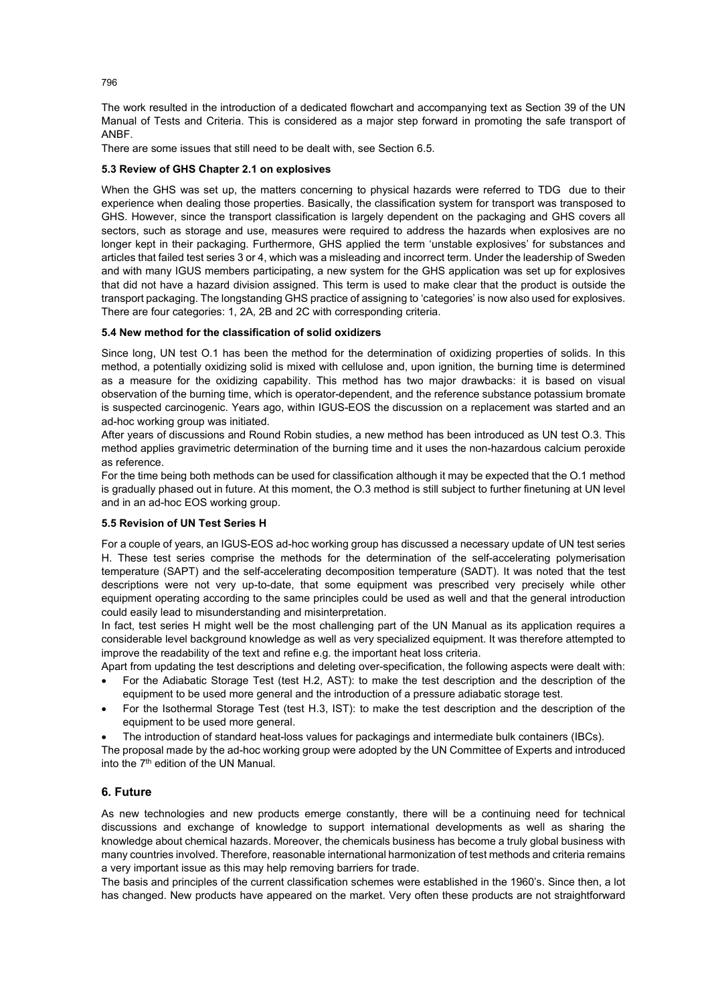The work resulted in the introduction of a dedicated flowchart and accompanying text as Section 39 of the UN Manual of Tests and Criteria. This is considered as a major step forward in promoting the safe transport of ANBF.

There are some issues that still need to be dealt with, see Section 6.5.

#### **5.3 Review of GHS Chapter 2.1 on explosives**

When the GHS was set up, the matters concerning to physical hazards were referred to TDG due to their experience when dealing those properties. Basically, the classification system for transport was transposed to GHS. However, since the transport classification is largely dependent on the packaging and GHS covers all sectors, such as storage and use, measures were required to address the hazards when explosives are no longer kept in their packaging. Furthermore, GHS applied the term 'unstable explosives' for substances and articles that failed test series 3 or 4, which was a misleading and incorrect term. Under the leadership of Sweden and with many IGUS members participating, a new system for the GHS application was set up for explosives that did not have a hazard division assigned. This term is used to make clear that the product is outside the transport packaging. The longstanding GHS practice of assigning to 'categories' is now also used for explosives. There are four categories: 1, 2A, 2B and 2C with corresponding criteria.

#### **5.4 New method for the classification of solid oxidizers**

Since long, UN test O.1 has been the method for the determination of oxidizing properties of solids. In this method, a potentially oxidizing solid is mixed with cellulose and, upon ignition, the burning time is determined as a measure for the oxidizing capability. This method has two major drawbacks: it is based on visual observation of the burning time, which is operator-dependent, and the reference substance potassium bromate is suspected carcinogenic. Years ago, within IGUS-EOS the discussion on a replacement was started and an ad-hoc working group was initiated.

After years of discussions and Round Robin studies, a new method has been introduced as UN test O.3. This method applies gravimetric determination of the burning time and it uses the non-hazardous calcium peroxide as reference.

For the time being both methods can be used for classification although it may be expected that the O.1 method is gradually phased out in future. At this moment, the O.3 method is still subject to further finetuning at UN level and in an ad-hoc EOS working group.

#### **5.5 Revision of UN Test Series H**

For a couple of years, an IGUS-EOS ad-hoc working group has discussed a necessary update of UN test series H. These test series comprise the methods for the determination of the self-accelerating polymerisation temperature (SAPT) and the self-accelerating decomposition temperature (SADT). It was noted that the test descriptions were not very up-to-date, that some equipment was prescribed very precisely while other equipment operating according to the same principles could be used as well and that the general introduction could easily lead to misunderstanding and misinterpretation.

In fact, test series H might well be the most challenging part of the UN Manual as its application requires a considerable level background knowledge as well as very specialized equipment. It was therefore attempted to improve the readability of the text and refine e.g. the important heat loss criteria.

- Apart from updating the test descriptions and deleting over-specification, the following aspects were dealt with: • For the Adiabatic Storage Test (test H.2, AST): to make the test description and the description of the equipment to be used more general and the introduction of a pressure adiabatic storage test.
- For the Isothermal Storage Test (test H.3, IST): to make the test description and the description of the equipment to be used more general.
- The introduction of standard heat-loss values for packagings and intermediate bulk containers (IBCs).

The proposal made by the ad-hoc working group were adopted by the UN Committee of Experts and introduced into the 7th edition of the UN Manual.

# **6. Future**

As new technologies and new products emerge constantly, there will be a continuing need for technical discussions and exchange of knowledge to support international developments as well as sharing the knowledge about chemical hazards. Moreover, the chemicals business has become a truly global business with many countries involved. Therefore, reasonable international harmonization of test methods and criteria remains a very important issue as this may help removing barriers for trade.

The basis and principles of the current classification schemes were established in the 1960's. Since then, a lot has changed. New products have appeared on the market. Very often these products are not straightforward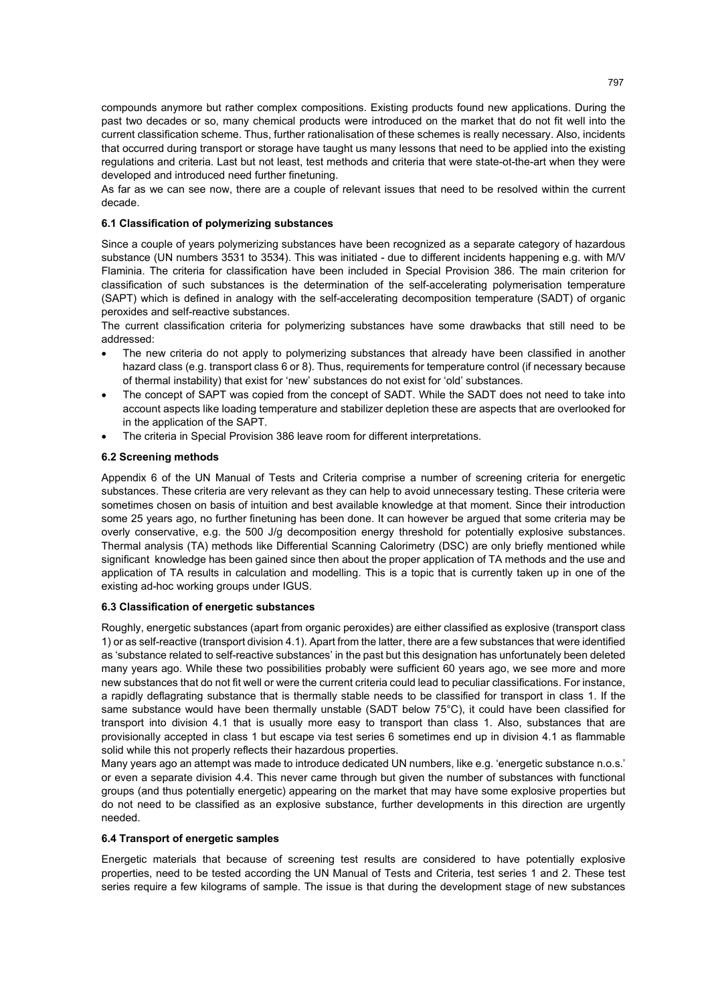compounds anymore but rather complex compositions. Existing products found new applications. During the past two decades or so, many chemical products were introduced on the market that do not fit well into the current classification scheme. Thus, further rationalisation of these schemes is really necessary. Also, incidents that occurred during transport or storage have taught us many lessons that need to be applied into the existing regulations and criteria. Last but not least, test methods and criteria that were state-ot-the-art when they were developed and introduced need further finetuning.

As far as we can see now, there are a couple of relevant issues that need to be resolved within the current decade.

# **6.1 Classification of polymerizing substances**

Since a couple of years polymerizing substances have been recognized as a separate category of hazardous substance (UN numbers 3531 to 3534). This was initiated - due to different incidents happening e.g. with M/V Flaminia. The criteria for classification have been included in Special Provision 386. The main criterion for classification of such substances is the determination of the self-accelerating polymerisation temperature (SAPT) which is defined in analogy with the self-accelerating decomposition temperature (SADT) of organic peroxides and self-reactive substances.

The current classification criteria for polymerizing substances have some drawbacks that still need to be addressed:

- The new criteria do not apply to polymerizing substances that already have been classified in another hazard class (e.g. transport class 6 or 8). Thus, requirements for temperature control (if necessary because of thermal instability) that exist for 'new' substances do not exist for 'old' substances.
- The concept of SAPT was copied from the concept of SADT. While the SADT does not need to take into account aspects like loading temperature and stabilizer depletion these are aspects that are overlooked for in the application of the SAPT.
- The criteria in Special Provision 386 leave room for different interpretations.

#### **6.2 Screening methods**

Appendix 6 of the UN Manual of Tests and Criteria comprise a number of screening criteria for energetic substances. These criteria are very relevant as they can help to avoid unnecessary testing. These criteria were sometimes chosen on basis of intuition and best available knowledge at that moment. Since their introduction some 25 years ago, no further finetuning has been done. It can however be argued that some criteria may be overly conservative, e.g. the 500 J/g decomposition energy threshold for potentially explosive substances. Thermal analysis (TA) methods like Differential Scanning Calorimetry (DSC) are only briefly mentioned while significant knowledge has been gained since then about the proper application of TA methods and the use and application of TA results in calculation and modelling. This is a topic that is currently taken up in one of the existing ad-hoc working groups under IGUS.

#### **6.3 Classification of energetic substances**

Roughly, energetic substances (apart from organic peroxides) are either classified as explosive (transport class 1) or as self-reactive (transport division 4.1). Apart from the latter, there are a few substances that were identified as 'substance related to self-reactive substances' in the past but this designation has unfortunately been deleted many years ago. While these two possibilities probably were sufficient 60 years ago, we see more and more new substances that do not fit well or were the current criteria could lead to peculiar classifications. For instance, a rapidly deflagrating substance that is thermally stable needs to be classified for transport in class 1. If the same substance would have been thermally unstable (SADT below 75°C), it could have been classified for transport into division 4.1 that is usually more easy to transport than class 1. Also, substances that are provisionally accepted in class 1 but escape via test series 6 sometimes end up in division 4.1 as flammable solid while this not properly reflects their hazardous properties.

Many years ago an attempt was made to introduce dedicated UN numbers, like e.g. 'energetic substance n.o.s.' or even a separate division 4.4. This never came through but given the number of substances with functional groups (and thus potentially energetic) appearing on the market that may have some explosive properties but do not need to be classified as an explosive substance, further developments in this direction are urgently needed.

#### **6.4 Transport of energetic samples**

Energetic materials that because of screening test results are considered to have potentially explosive properties, need to be tested according the UN Manual of Tests and Criteria, test series 1 and 2. These test series require a few kilograms of sample. The issue is that during the development stage of new substances